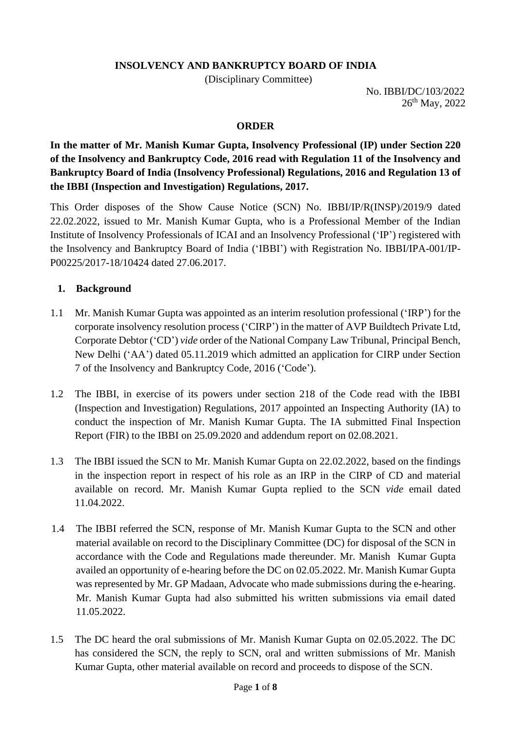### **INSOLVENCY AND BANKRUPTCY BOARD OF INDIA**

(Disciplinary Committee)

 No. IBBI/DC/103/2022 26<sup>th</sup> May, 2022

#### **ORDER**

**In the matter of Mr. Manish Kumar Gupta, Insolvency Professional (IP) under Section 220 of the Insolvency and Bankruptcy Code, 2016 read with Regulation 11 of the Insolvency and Bankruptcy Board of India (Insolvency Professional) Regulations, 2016 and Regulation 13 of the IBBI (Inspection and Investigation) Regulations, 2017.**

This Order disposes of the Show Cause Notice (SCN) No. IBBI/IP/R(INSP)/2019/9 dated 22.02.2022, issued to Mr. Manish Kumar Gupta, who is a Professional Member of the Indian Institute of Insolvency Professionals of ICAI and an Insolvency Professional ('IP') registered with the Insolvency and Bankruptcy Board of India ('IBBI') with Registration No. IBBI/IPA-001/IP-P00225/2017-18/10424 dated 27.06.2017.

#### **1. Background**

- 1.1 Mr. Manish Kumar Gupta was appointed as an interim resolution professional ('IRP') for the corporate insolvency resolution process ('CIRP') in the matter of AVP Buildtech Private Ltd, Corporate Debtor ('CD') *vide* order of the National Company Law Tribunal, Principal Bench, New Delhi ('AA') dated 05.11.2019 which admitted an application for CIRP under Section 7 of the Insolvency and Bankruptcy Code, 2016 ('Code').
- 1.2 The IBBI, in exercise of its powers under section 218 of the Code read with the IBBI (Inspection and Investigation) Regulations, 2017 appointed an Inspecting Authority (IA) to conduct the inspection of Mr. Manish Kumar Gupta. The IA submitted Final Inspection Report (FIR) to the IBBI on 25.09.2020 and addendum report on 02.08.2021.
- 1.3 The IBBI issued the SCN to Mr. Manish Kumar Gupta on 22.02.2022, based on the findings in the inspection report in respect of his role as an IRP in the CIRP of CD and material available on record. Mr. Manish Kumar Gupta replied to the SCN *vide* email dated 11.04.2022.
- 1.4 The IBBI referred the SCN, response of Mr. Manish Kumar Gupta to the SCN and other material available on record to the Disciplinary Committee (DC) for disposal of the SCN in accordance with the Code and Regulations made thereunder. Mr. Manish Kumar Gupta availed an opportunity of e-hearing before the DC on 02.05.2022. Mr. Manish Kumar Gupta was represented by Mr. GP Madaan, Advocate who made submissions during the e-hearing. Mr. Manish Kumar Gupta had also submitted his written submissions via email dated 11.05.2022.
- 1.5 The DC heard the oral submissions of Mr. Manish Kumar Gupta on 02.05.2022. The DC has considered the SCN, the reply to SCN, oral and written submissions of Mr. Manish Kumar Gupta, other material available on record and proceeds to dispose of the SCN.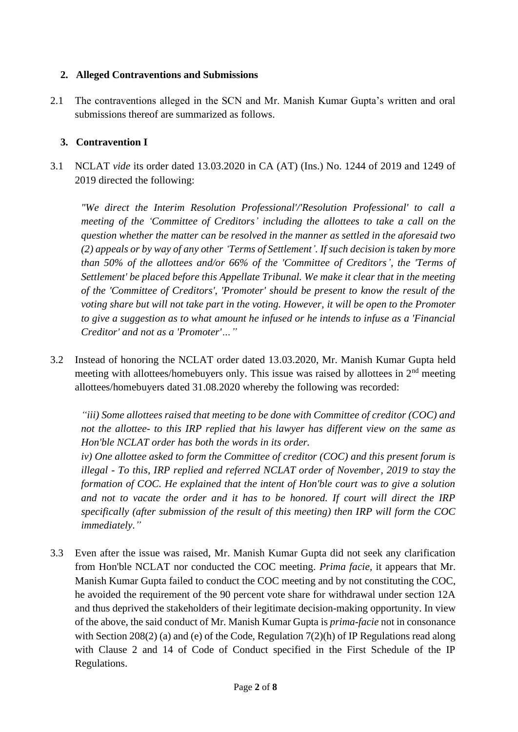### **2. Alleged Contraventions and Submissions**

2.1 The contraventions alleged in the SCN and Mr. Manish Kumar Gupta's written and oral submissions thereof are summarized as follows.

# **3. Contravention I**

3.1 NCLAT *vide* its order dated 13.03.2020 in CA (AT) (Ins.) No. 1244 of 2019 and 1249 of 2019 directed the following:

*"We direct the Interim Resolution Professional'/'Resolution Professional' to call a meeting of the 'Committee of Creditors' including the allottees to take a call on the question whether the matter can be resolved in the manner as settled in the aforesaid two (2) appeals or by way of any other 'Terms of Settlement'. If such decision is taken by more than 50% of the allottees and/or 66% of the 'Committee of Creditors', the 'Terms of Settlement' be placed before this Appellate Tribunal. We make it clear that in the meeting of the 'Committee of Creditors', 'Promoter' should be present to know the result of the voting share but will not take part in the voting. However, it will be open to the Promoter to give a suggestion as to what amount he infused or he intends to infuse as a 'Financial Creditor' and not as a 'Promoter'…"*

3.2 Instead of honoring the NCLAT order dated 13.03.2020, Mr. Manish Kumar Gupta held meeting with allottees/homebuyers only. This issue was raised by allottees in  $2<sup>nd</sup>$  meeting allottees/homebuyers dated 31.08.2020 whereby the following was recorded:

*"iii) Some allottees raised that meeting to be done with Committee of creditor (COC) and not the allottee- to this IRP replied that his lawyer has different view on the same as Hon'ble NCLAT order has both the words in its order.*

*iv) One allottee asked to form the Committee of creditor (COC) and this present forum is illegal - To this, IRP replied and referred NCLAT order of November, 2019 to stay the formation of COC. He explained that the intent of Hon'ble court was to give a solution and not to vacate the order and it has to be honored. If court will direct the IRP specifically (after submission of the result of this meeting) then IRP will form the COC immediately."*

3.3 Even after the issue was raised, Mr. Manish Kumar Gupta did not seek any clarification from Hon'ble NCLAT nor conducted the COC meeting. *Prima facie,* it appears that Mr. Manish Kumar Gupta failed to conduct the COC meeting and by not constituting the COC, he avoided the requirement of the 90 percent vote share for withdrawal under section 12A and thus deprived the stakeholders of their legitimate decision-making opportunity. In view of the above, the said conduct of Mr. Manish Kumar Gupta is *prima-facie* not in consonance with Section 208(2) (a) and (e) of the Code, Regulation 7(2)(h) of IP Regulations read along with Clause 2 and 14 of Code of Conduct specified in the First Schedule of the IP Regulations.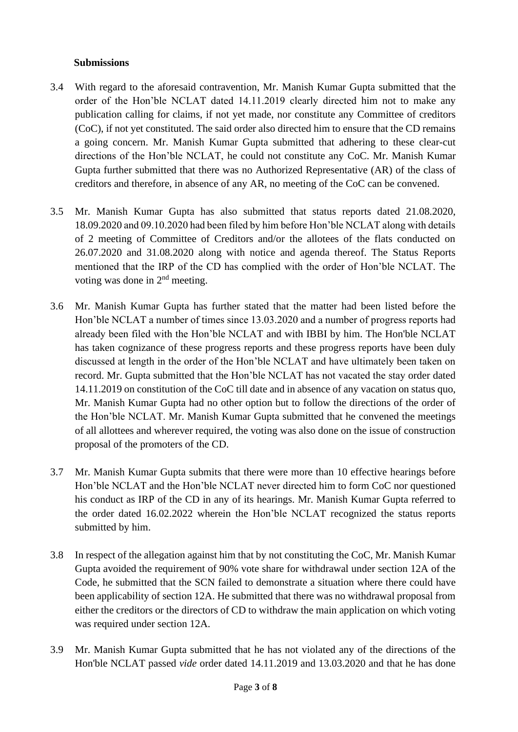### **Submissions**

- 3.4 With regard to the aforesaid contravention, Mr. Manish Kumar Gupta submitted that the order of the Hon'ble NCLAT dated 14.11.2019 clearly directed him not to make any publication calling for claims, if not yet made, nor constitute any Committee of creditors (CoC), if not yet constituted. The said order also directed him to ensure that the CD remains a going concern. Mr. Manish Kumar Gupta submitted that adhering to these clear-cut directions of the Hon'ble NCLAT, he could not constitute any CoC. Mr. Manish Kumar Gupta further submitted that there was no Authorized Representative (AR) of the class of creditors and therefore, in absence of any AR, no meeting of the CoC can be convened.
- 3.5 Mr. Manish Kumar Gupta has also submitted that status reports dated 21.08.2020, 18.09.2020 and 09.10.2020 had been filed by him before Hon'ble NCLAT along with details of 2 meeting of Committee of Creditors and/or the allotees of the flats conducted on 26.07.2020 and 31.08.2020 along with notice and agenda thereof. The Status Reports mentioned that the IRP of the CD has complied with the order of Hon'ble NCLAT. The voting was done in 2nd meeting.
- 3.6 Mr. Manish Kumar Gupta has further stated that the matter had been listed before the Hon'ble NCLAT a number of times since 13.03.2020 and a number of progress reports had already been filed with the Hon'ble NCLAT and with IBBI by him. The Hon'ble NCLAT has taken cognizance of these progress reports and these progress reports have been duly discussed at length in the order of the Hon'ble NCLAT and have ultimately been taken on record. Mr. Gupta submitted that the Hon'ble NCLAT has not vacated the stay order dated 14.11.2019 on constitution of the CoC till date and in absence of any vacation on status quo, Mr. Manish Kumar Gupta had no other option but to follow the directions of the order of the Hon'ble NCLAT. Mr. Manish Kumar Gupta submitted that he convened the meetings of all allottees and wherever required, the voting was also done on the issue of construction proposal of the promoters of the CD.
- 3.7 Mr. Manish Kumar Gupta submits that there were more than 10 effective hearings before Hon'ble NCLAT and the Hon'ble NCLAT never directed him to form CoC nor questioned his conduct as IRP of the CD in any of its hearings. Mr. Manish Kumar Gupta referred to the order dated 16.02.2022 wherein the Hon'ble NCLAT recognized the status reports submitted by him.
- 3.8 In respect of the allegation against him that by not constituting the CoC, Mr. Manish Kumar Gupta avoided the requirement of 90% vote share for withdrawal under section 12A of the Code, he submitted that the SCN failed to demonstrate a situation where there could have been applicability of section 12A. He submitted that there was no withdrawal proposal from either the creditors or the directors of CD to withdraw the main application on which voting was required under section 12A.
- 3.9 Mr. Manish Kumar Gupta submitted that he has not violated any of the directions of the Hon'ble NCLAT passed *vide* order dated 14.11.2019 and 13.03.2020 and that he has done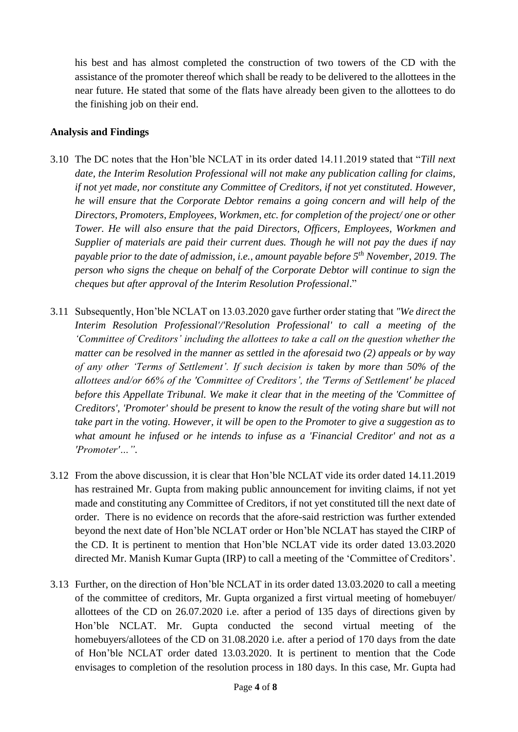his best and has almost completed the construction of two towers of the CD with the assistance of the promoter thereof which shall be ready to be delivered to the allottees in the near future. He stated that some of the flats have already been given to the allottees to do the finishing job on their end.

#### **Analysis and Findings**

- 3.10 The DC notes that the Hon'ble NCLAT in its order dated 14.11.2019 stated that "*Till next date, the Interim Resolution Professional will not make any publication calling for claims, if not yet made, nor constitute any Committee of Creditors, if not yet constituted. However, he will ensure that the Corporate Debtor remains a going concern and will help of the Directors, Promoters, Employees, Workmen, etc. for completion of the project/ one or other Tower. He will also ensure that the paid Directors, Officers, Employees, Workmen and Supplier of materials are paid their current dues. Though he will not pay the dues if nay payable prior to the date of admission, i.e., amount payable before 5th November, 2019. The person who signs the cheque on behalf of the Corporate Debtor will continue to sign the cheques but after approval of the Interim Resolution Professional*."
- 3.11 Subsequently, Hon'ble NCLAT on 13.03.2020 gave further order stating that *"We direct the Interim Resolution Professional'/'Resolution Professional' to call a meeting of the 'Committee of Creditors' including the allottees to take a call on the question whether the matter can be resolved in the manner as settled in the aforesaid two (2) appeals or by way of any other 'Terms of Settlement'. If such decision is taken by more than 50% of the allottees and/or 66% of the 'Committee of Creditors', the 'Terms of Settlement' be placed before this Appellate Tribunal. We make it clear that in the meeting of the 'Committee of Creditors', 'Promoter' should be present to know the result of the voting share but will not take part in the voting. However, it will be open to the Promoter to give a suggestion as to what amount he infused or he intends to infuse as a 'Financial Creditor' and not as a 'Promoter'…".*
- 3.12 From the above discussion, it is clear that Hon'ble NCLAT vide its order dated 14.11.2019 has restrained Mr. Gupta from making public announcement for inviting claims, if not yet made and constituting any Committee of Creditors, if not yet constituted till the next date of order. There is no evidence on records that the afore-said restriction was further extended beyond the next date of Hon'ble NCLAT order or Hon'ble NCLAT has stayed the CIRP of the CD. It is pertinent to mention that Hon'ble NCLAT vide its order dated 13.03.2020 directed Mr. Manish Kumar Gupta (IRP) to call a meeting of the 'Committee of Creditors'.
- 3.13 Further, on the direction of Hon'ble NCLAT in its order dated 13.03.2020 to call a meeting of the committee of creditors, Mr. Gupta organized a first virtual meeting of homebuyer/ allottees of the CD on 26.07.2020 i.e. after a period of 135 days of directions given by Hon'ble NCLAT. Mr. Gupta conducted the second virtual meeting of the homebuyers/allotees of the CD on 31.08.2020 i.e. after a period of 170 days from the date of Hon'ble NCLAT order dated 13.03.2020. It is pertinent to mention that the Code envisages to completion of the resolution process in 180 days. In this case, Mr. Gupta had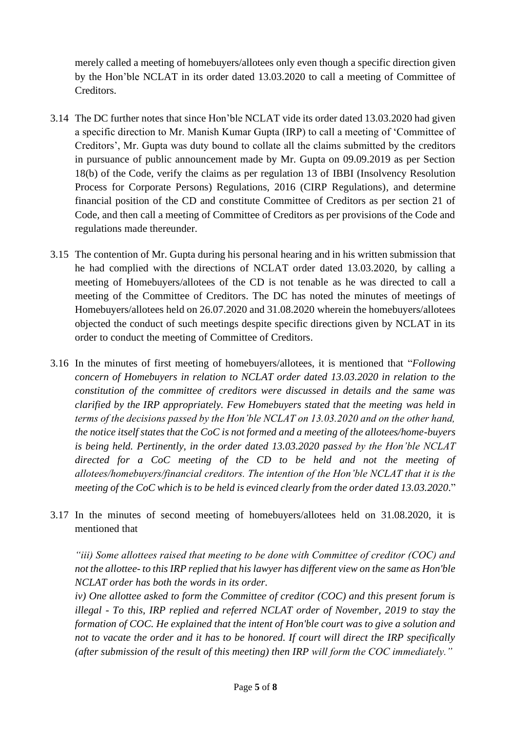merely called a meeting of homebuyers/allotees only even though a specific direction given by the Hon'ble NCLAT in its order dated 13.03.2020 to call a meeting of Committee of Creditors.

- 3.14 The DC further notes that since Hon'ble NCLAT vide its order dated 13.03.2020 had given a specific direction to Mr. Manish Kumar Gupta (IRP) to call a meeting of 'Committee of Creditors', Mr. Gupta was duty bound to collate all the claims submitted by the creditors in pursuance of public announcement made by Mr. Gupta on 09.09.2019 as per Section 18(b) of the Code, verify the claims as per regulation 13 of IBBI (Insolvency Resolution Process for Corporate Persons) Regulations, 2016 (CIRP Regulations), and determine financial position of the CD and constitute Committee of Creditors as per section 21 of Code, and then call a meeting of Committee of Creditors as per provisions of the Code and regulations made thereunder.
- 3.15 The contention of Mr. Gupta during his personal hearing and in his written submission that he had complied with the directions of NCLAT order dated 13.03.2020, by calling a meeting of Homebuyers/allotees of the CD is not tenable as he was directed to call a meeting of the Committee of Creditors. The DC has noted the minutes of meetings of Homebuyers/allotees held on 26.07.2020 and 31.08.2020 wherein the homebuyers/allotees objected the conduct of such meetings despite specific directions given by NCLAT in its order to conduct the meeting of Committee of Creditors.
- 3.16 In the minutes of first meeting of homebuyers/allotees, it is mentioned that "*Following concern of Homebuyers in relation to NCLAT order dated 13.03.2020 in relation to the constitution of the committee of creditors were discussed in details and the same was clarified by the IRP appropriately. Few Homebuyers stated that the meeting was held in terms of the decisions passed by the Hon'ble NCLAT on 13.03.2020 and on the other hand, the notice itself states that the CoC is not formed and a meeting of the allotees/home-buyers is being held. Pertinently, in the order dated 13.03.2020 passed by the Hon'ble NCLAT directed for a CoC meeting of the CD to be held and not the meeting of allotees/homebuyers/financial creditors. The intention of the Hon'ble NCLAT that it is the meeting of the CoC which is to be held is evinced clearly from the order dated 13.03.2020*."
- 3.17 In the minutes of second meeting of homebuyers/allotees held on 31.08.2020, it is mentioned that

*"iii) Some allottees raised that meeting to be done with Committee of creditor (COC) and not the allottee- to this IRP replied that his lawyer has different view on the same as Hon'ble NCLAT order has both the words in its order.*

*iv) One allottee asked to form the Committee of creditor (COC) and this present forum is illegal - To this, IRP replied and referred NCLAT order of November, 2019 to stay the formation of COC. He explained that the intent of Hon'ble court was to give a solution and not to vacate the order and it has to be honored. If court will direct the IRP specifically (after submission of the result of this meeting) then IRP will form the COC immediately."*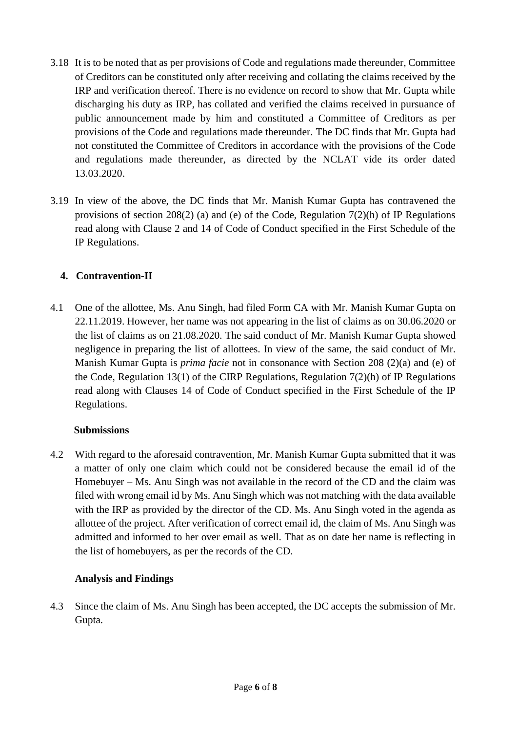- 3.18 It is to be noted that as per provisions of Code and regulations made thereunder, Committee of Creditors can be constituted only after receiving and collating the claims received by the IRP and verification thereof. There is no evidence on record to show that Mr. Gupta while discharging his duty as IRP, has collated and verified the claims received in pursuance of public announcement made by him and constituted a Committee of Creditors as per provisions of the Code and regulations made thereunder. The DC finds that Mr. Gupta had not constituted the Committee of Creditors in accordance with the provisions of the Code and regulations made thereunder, as directed by the NCLAT vide its order dated 13.03.2020.
- 3.19 In view of the above, the DC finds that Mr. Manish Kumar Gupta has contravened the provisions of section 208(2) (a) and (e) of the Code, Regulation 7(2)(h) of IP Regulations read along with Clause 2 and 14 of Code of Conduct specified in the First Schedule of the IP Regulations.

# **4. Contravention-II**

4.1 One of the allottee, Ms. Anu Singh, had filed Form CA with Mr. Manish Kumar Gupta on 22.11.2019. However, her name was not appearing in the list of claims as on 30.06.2020 or the list of claims as on 21.08.2020. The said conduct of Mr. Manish Kumar Gupta showed negligence in preparing the list of allottees. In view of the same, the said conduct of Mr. Manish Kumar Gupta is *prima facie* not in consonance with Section 208 (2)(a) and (e) of the Code, Regulation 13(1) of the CIRP Regulations, Regulation 7(2)(h) of IP Regulations read along with Clauses 14 of Code of Conduct specified in the First Schedule of the IP Regulations.

## **Submissions**

4.2 With regard to the aforesaid contravention, Mr. Manish Kumar Gupta submitted that it was a matter of only one claim which could not be considered because the email id of the Homebuyer – Ms. Anu Singh was not available in the record of the CD and the claim was filed with wrong email id by Ms. Anu Singh which was not matching with the data available with the IRP as provided by the director of the CD. Ms. Anu Singh voted in the agenda as allottee of the project. After verification of correct email id, the claim of Ms. Anu Singh was admitted and informed to her over email as well. That as on date her name is reflecting in the list of homebuyers, as per the records of the CD.

## **Analysis and Findings**

4.3 Since the claim of Ms. Anu Singh has been accepted, the DC accepts the submission of Mr. Gupta.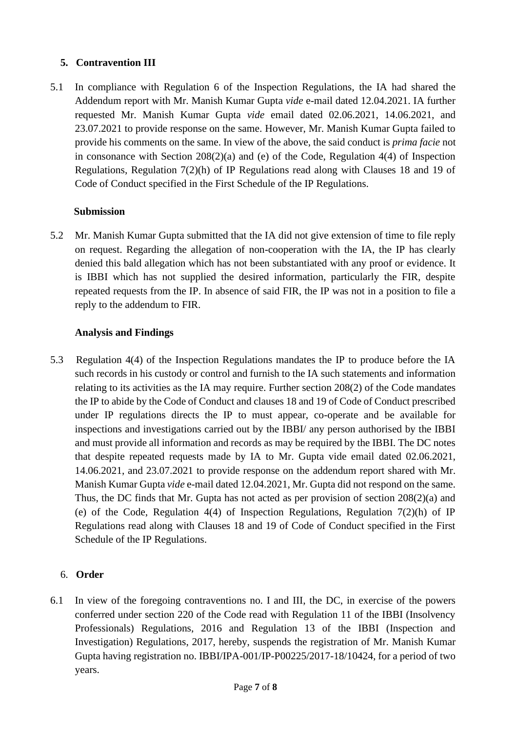# **5. Contravention III**

5.1 In compliance with Regulation 6 of the Inspection Regulations, the IA had shared the Addendum report with Mr. Manish Kumar Gupta *vide* e-mail dated 12.04.2021. IA further requested Mr. Manish Kumar Gupta *vide* email dated 02.06.2021, 14.06.2021, and 23.07.2021 to provide response on the same. However, Mr. Manish Kumar Gupta failed to provide his comments on the same. In view of the above, the said conduct is *prima facie* not in consonance with Section 208(2)(a) and (e) of the Code, Regulation 4(4) of Inspection Regulations, Regulation 7(2)(h) of IP Regulations read along with Clauses 18 and 19 of Code of Conduct specified in the First Schedule of the IP Regulations.

### **Submission**

5.2 Mr. Manish Kumar Gupta submitted that the IA did not give extension of time to file reply on request. Regarding the allegation of non-cooperation with the IA, the IP has clearly denied this bald allegation which has not been substantiated with any proof or evidence. It is IBBI which has not supplied the desired information, particularly the FIR, despite repeated requests from the IP. In absence of said FIR, the IP was not in a position to file a reply to the addendum to FIR.

### **Analysis and Findings**

5.3 Regulation 4(4) of the Inspection Regulations mandates the IP to produce before the IA such records in his custody or control and furnish to the IA such statements and information relating to its activities as the IA may require. Further section 208(2) of the Code mandates the IP to abide by the Code of Conduct and clauses 18 and 19 of Code of Conduct prescribed under IP regulations directs the IP to must appear, co-operate and be available for inspections and investigations carried out by the IBBI/ any person authorised by the IBBI and must provide all information and records as may be required by the IBBI. The DC notes that despite repeated requests made by IA to Mr. Gupta vide email dated 02.06.2021, 14.06.2021, and 23.07.2021 to provide response on the addendum report shared with Mr. Manish Kumar Gupta *vide* e-mail dated 12.04.2021, Mr. Gupta did not respond on the same. Thus, the DC finds that Mr. Gupta has not acted as per provision of section 208(2)(a) and (e) of the Code, Regulation 4(4) of Inspection Regulations, Regulation 7(2)(h) of IP Regulations read along with Clauses 18 and 19 of Code of Conduct specified in the First Schedule of the IP Regulations.

## 6. **Order**

6.1 In view of the foregoing contraventions no. I and III, the DC, in exercise of the powers conferred under section 220 of the Code read with Regulation 11 of the IBBI (Insolvency Professionals) Regulations, 2016 and Regulation 13 of the IBBI (Inspection and Investigation) Regulations, 2017, hereby, suspends the registration of Mr. Manish Kumar Gupta having registration no. IBBI/IPA-001/IP-P00225/2017-18/10424, for a period of two years.